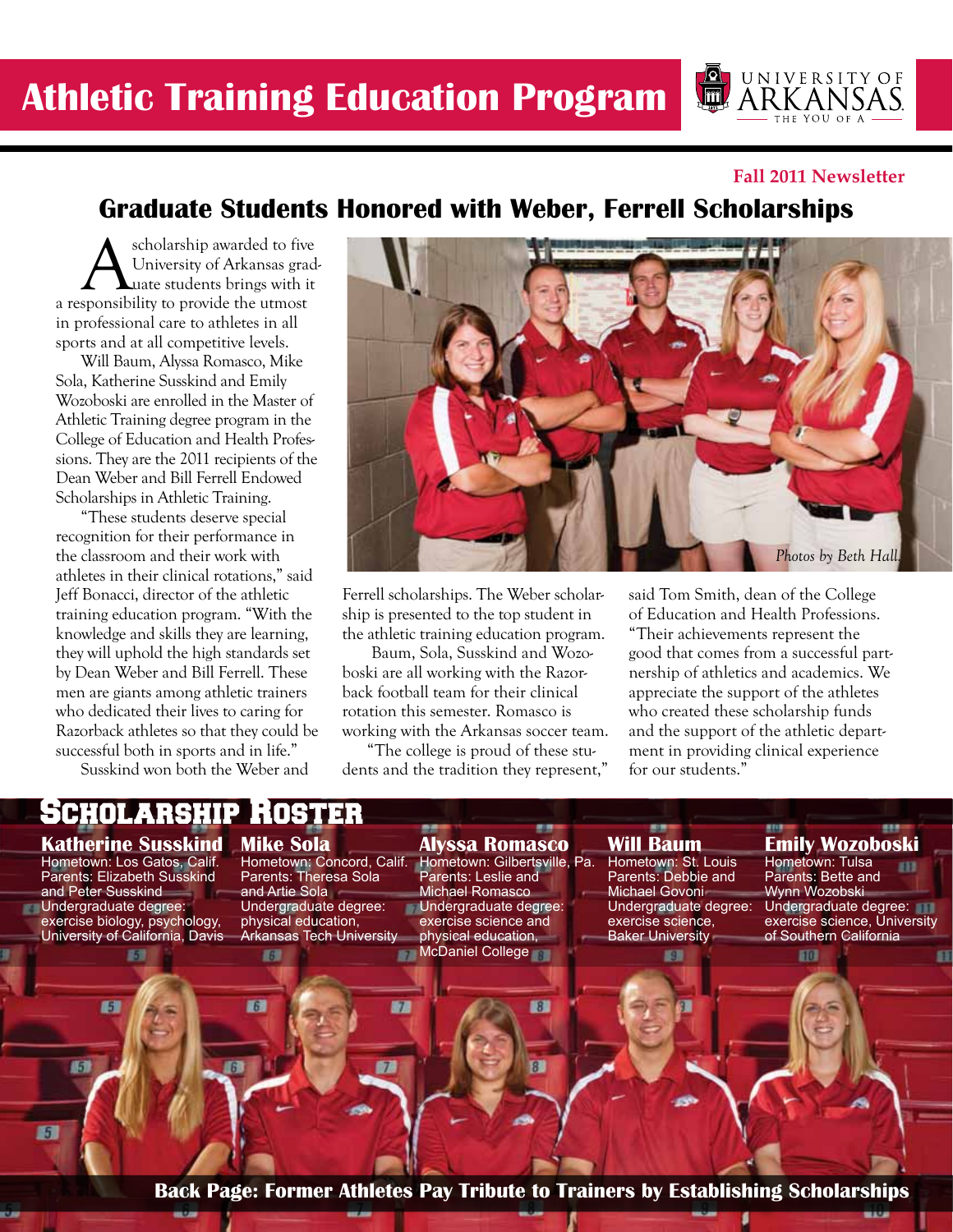**UNIVERSITY OF**  $\sqrt{\text{m}}$ ARKANSAS

#### **Fall 2011 Newsletter**

## **Graduate Students Honored with Weber, Ferrell Scholarships**

Scholarship awarded to five<br>University of Arkansas grad<br>Sponsibility to provide the utmost University of Arkansas graduate students brings with it a responsibility to provide the utmost in professional care to athletes in all sports and at all competitive levels.

Will Baum, Alyssa Romasco, Mike Sola, Katherine Susskind and Emily Wozoboski are enrolled in the Master of Athletic Training degree program in the College of Education and Health Professions. They are the 2011 recipients of the Dean Weber and Bill Ferrell Endowed Scholarships in Athletic Training.

"These students deserve special recognition for their performance in the classroom and their work with athletes in their clinical rotations," said Jeff Bonacci, director of the athletic training education program. "With the knowledge and skills they are learning, they will uphold the high standards set by Dean Weber and Bill Ferrell. These men are giants among athletic trainers who dedicated their lives to caring for Razorback athletes so that they could be successful both in sports and in life."

Susskind won both the Weber and

Scholarship Roster



Ferrell scholarships. The Weber scholarship is presented to the top student in the athletic training education program.

 Baum, Sola, Susskind and Wozoboski are all working with the Razorback football team for their clinical rotation this semester. Romasco is working with the Arkansas soccer team.

"The college is proud of these students and the tradition they represent," said Tom Smith, dean of the College of Education and Health Professions. "Their achievements represent the good that comes from a successful partnership of athletics and academics. We appreciate the support of the athletes who created these scholarship funds and the support of the athletic department in providing clinical experience for our students."

#### **Katherine Susskind Mike Sola**

Hometown: Los Gatos, Calif. Parents: Elizabeth Susskind and Peter Susskind Undergraduate degree: exercise biology, psychology, University of California, Davis

Œ.

新聞

廚

Hometown: Concord, Calif. Parents: Theresa Sola and Artie Sola Undergraduate degree: physical education, Arkansas Tech University

67.

旧

**Alyssa Romasco** Hometown: Gilbertsville, Pa. Parents: Leslie and Michael Romasco Undergraduate degree: exercise science and physical education, **McDaniel College** 

**Will Baum** Hometown: St. Louis Parents: Debbie and Michael Govoni Undergraduate degree: exercise science,

59.

Baker University

## **Emily Wozoboski**

 $H<sub>0</sub>$ 

Hometown: Tulsa Parents: Bette and Wynn Wozobski Undergraduate degree: exercise science, University of Southern California

**Back Page: Former Athletes Pay Tribute to Trainers by Establishing Scholarships**

 $\blacksquare$ 

 $8<sup>1</sup>$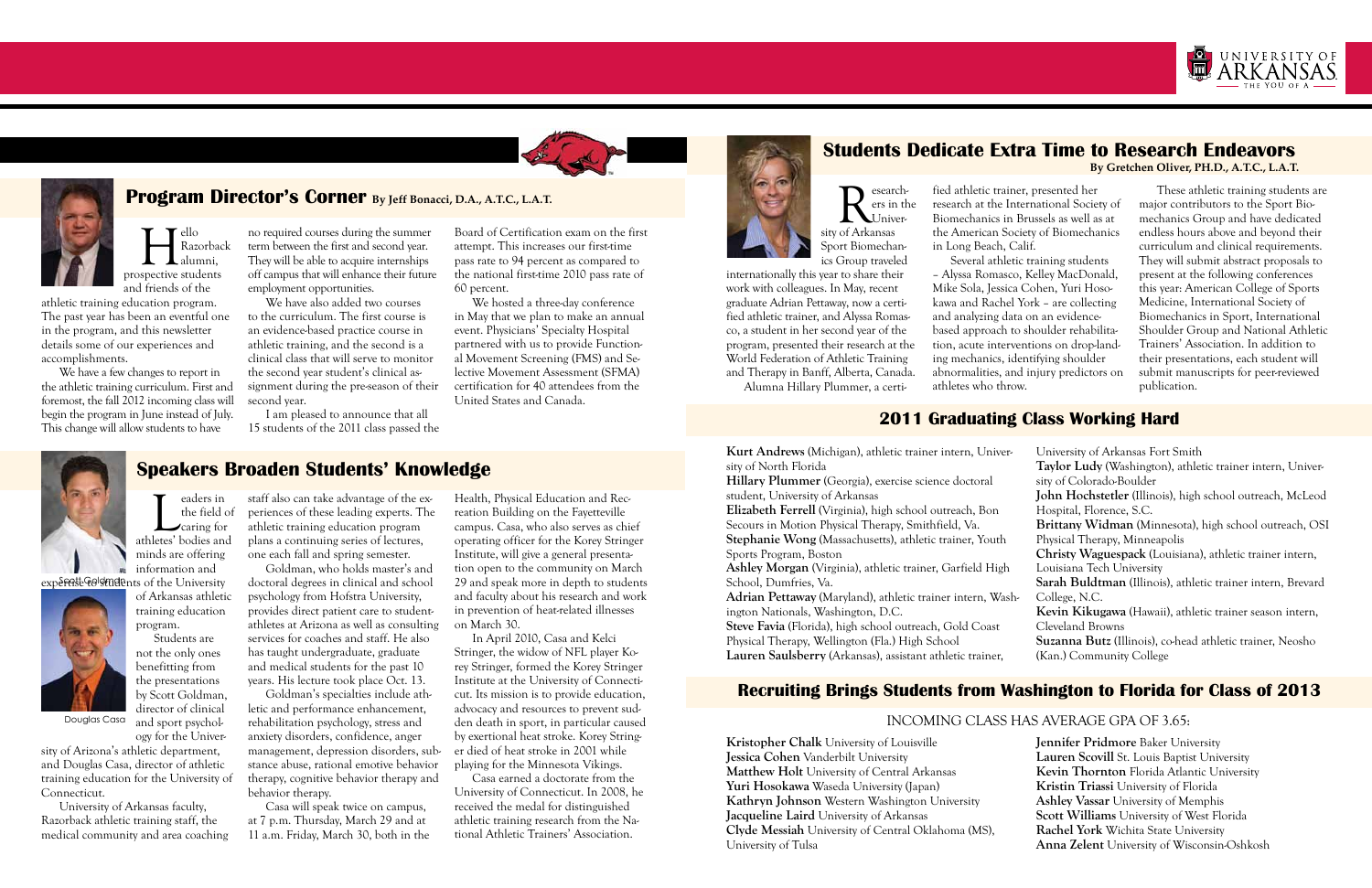

# **Program Director's Corner By Jeff Bonacci, D.A., A.T.C., L.A.T.**

# **Speakers Broaden Students' Knowledge**

## **Recruiting Brings Students from Washington to Florida for Class of 2013**

### Douglas Casa and sport psychol rehabilitation psychology, stress and den death in sport, in particular caused INCOMING CLASS HAS AVERAGE GPA OF 3.65:

**Hello**<br>Razorbac<br>prospective students Razorback alumni, and friends of the

# **2011 Graduating Class Working Hard**

athletic training education program. The past year has been an eventful one in the program, and this newsletter details some of our experiences and accomplishments.

We have a few changes to report in the athletic training curriculum. First and foremost, the fall 2012 incoming class will begin the program in June instead of July. This change will allow students to have

no required courses during the summer term between the first and second year. They will be able to acquire internships off campus that will enhance their future employment opportunities.

We hosted a three-day conference in May that we plan to make an annual event. Physicians' Specialty Hospital partnered with us to provide Functional Movement Screening (FMS) and Selective Movement Assessment (SFMA) certification for 40 attendees from the United States and Canada.

eaders in<br>the field contains the field of<br>letes' bodies and the field of caring for athletes' bodies and minds are offering information and

experest Golstudents of the University

We have also added two courses to the curriculum. The first course is an evidence-based practice course in athletic training, and the second is a clinical class that will serve to monitor the second year student's clinical assignment during the pre-season of their second year.

I am pleased to announce that all 15 students of the 2011 class passed the Board of Certification exam on the first attempt. This increases our first-time pass rate to 94 percent as compared to the national first-time 2010 pass rate of 60 percent.

of Arkansas athletic





training education program. Students are not the only ones

benefitting from the presentations by Scott Goldman, director of clinical

and sport psychol-

ogy for the University of Arizona's athletic department, and Douglas Casa, director of athletic training education for the University of Connecticut.

Research-<br>
El Univer-<br>
Sity of Arkansas ers in the Jniver-Sport Biomechanics Group traveled

University of Arkansas faculty, Razorback athletic training staff, the medical community and area coaching

staff also can take advantage of the experiences of these leading experts. The athletic training education program plans a continuing series of lectures, one each fall and spring semester.

Goldman, who holds master's and doctoral degrees in clinical and school psychology from Hofstra University, provides direct patient care to studentathletes at Arizona as well as consulting services for coaches and staff. He also has taught undergraduate, graduate and medical students for the past 10 years. His lecture took place Oct. 13.

Goldman's specialties include athletic and performance enhancement, rehabilitation psychology, stress and anxiety disorders, confidence, anger management, depression disorders, substance abuse, rational emotive behavior therapy, cognitive behavior therapy and behavior therapy.

Casa will speak twice on campus, at 7 p.m. Thursday, March 29 and at 11 a.m. Friday, March 30, both in the Health, Physical Education and Recreation Building on the Fayetteville campus. Casa, who also serves as chief operating officer for the Korey Stringer Institute, will give a general presentation open to the community on March 29 and speak more in depth to students and faculty about his research and work in prevention of heat-related illnesses on March 30.

Adrian Pettaway (Maryland), athletic trainer intern, Washington Nationals, Washington, D.C.

In April 2010, Casa and Kelci Stringer, the widow of NFL player Korey Stringer, formed the Korey Stringer Institute at the University of Connecticut. Its mission is to provide education, advocacy and resources to prevent sudden death in sport, in particular caused by exertional heat stroke. Korey Stringer died of heat stroke in 2001 while playing for the Minnesota Vikings.

Casa earned a doctorate from the University of Connecticut. In 2008, he received the medal for distinguished athletic training research from the National Athletic Trainers' Association.

## **Students Dedicate Extra Time to Research Endeavors By Gretchen Oliver, PH.D., A.T.C., L.A.T.**

internationally this year to share their work with colleagues. In May, recent graduate Adrian Pettaway, now a certified athletic trainer, and Alyssa Romasco, a student in her second year of the program, presented their research at the World Federation of Athletic Training and Therapy in Banff, Alberta, Canada. Alumna Hillary Plummer, a certi-

fied athletic trainer, presented her research at the International Society of Biomechanics in Brussels as well as at the American Society of Biomechanics

in Long Beach, Calif.

Several athletic training students – Alyssa Romasco, Kelley MacDonald, Mike Sola, Jessica Cohen, Yuri Hosokawa and Rachel York – are collecting and analyzing data on an evidencebased approach to shoulder rehabilitation, acute interventions on drop-landing mechanics, identifying shoulder abnormalities, and injury predictors on

athletes who throw.

These athletic training students are major contributors to the Sport Biomechanics Group and have dedicated endless hours above and beyond their curriculum and clinical requirements. They will submit abstract proposals to present at the following conferences this year: American College of Sports Medicine, International Society of Biomechanics in Sport, International Shoulder Group and National Athletic Trainers' Association. In addition to their presentations, each student will submit manuscripts for peer-reviewed publication.

**Kristopher Chalk** University of Louisville **Jessica Cohen** Vanderbilt University **Matthew Holt** University of Central Arkansas **Yuri Hosokawa** Waseda University (Japan) **Kathryn Johnson** Western Washington University **Jacqueline Laird** University of Arkansas **Clyde Messiah** University of Central Oklahoma (MS), University of Tulsa

**Jennifer Pridmore** Baker University **Lauren Scovill** St. Louis Baptist University **Kevin Thornton** Florida Atlantic University **Kristin Triassi** University of Florida **Ashley Vassar** University of Memphis **Scott Williams** University of West Florida **Rachel York** Wichita State University **Anna Zelent** University of Wisconsin-Oshkosh

**Kurt Andrews** (Michigan), athletic trainer intern, University of North Florida

**Hillary Plummer** (Georgia), exercise science doctoral student, University of Arkansas

**Elizabeth Ferrell** (Virginia), high school outreach, Bon Secours in Motion Physical Therapy, Smithfield, Va. **Stephanie Wong** (Massachusetts), athletic trainer, Youth

Sports Program, Boston **Ashley Morgan** (Virginia), athletic trainer, Garfield High

School, Dumfries, Va.

**Steve Favia** (Florida), high school outreach, Gold Coast Physical Therapy, Wellington (Fla.) High School **Lauren Saulsberry** (Arkansas), assistant athletic trainer,

| University of Arkansas Fort Smith                                |
|------------------------------------------------------------------|
| Taylor Ludy (Washington), athletic trainer intern, Univer-       |
| sity of Colorado-Boulder                                         |
| John Hochstetler (Illinois), high school outreach, McLeod        |
| Hospital, Florence, S.C.                                         |
| Brittany Widman (Minnesota), high school outreach, OSI           |
| Physical Therapy, Minneapolis                                    |
| Christy Waguespack (Louisiana), athletic trainer intern,         |
| Louisiana Tech University                                        |
| Sarah Buldtman (Illinois), athletic trainer intern, Brevard      |
| College, N.C.                                                    |
| Kevin Kikugawa (Hawaii), athletic trainer season intern,         |
| Cleveland Browns                                                 |
| <b>Suzanna Butz</b> (Illinois), co-head athletic trainer, Neosho |
| (Kan.) Community College                                         |
|                                                                  |